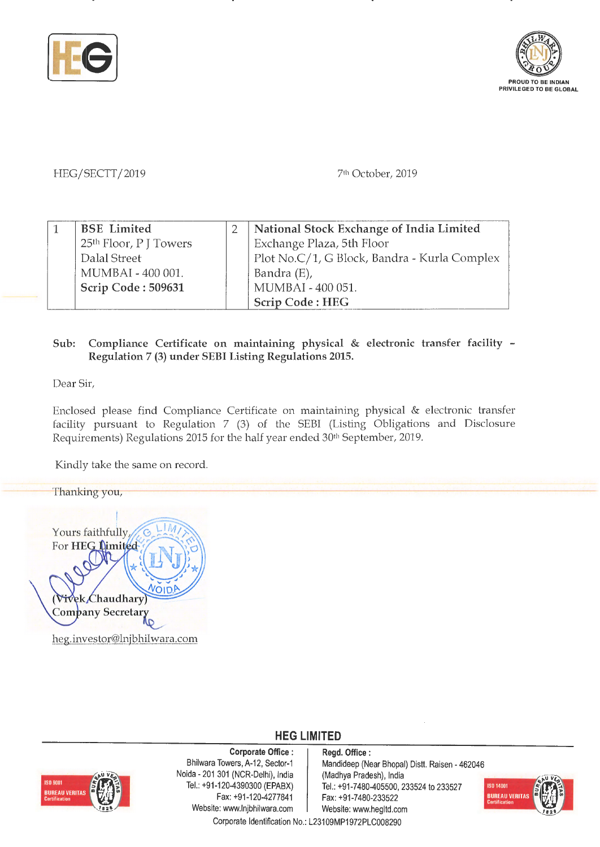



## HEG/SECTT/2019

71 " October, 2019

| <b>BSE</b> Limited     | National Stock Exchange of India Limited     |
|------------------------|----------------------------------------------|
| 25th Floor, P J Towers | Exchange Plaza, 5th Floor                    |
| Dalal Street           | Plot No.C/1, G Block, Bandra - Kurla Complex |
| MUMBAI - 400 001.      | Bandra (E),                                  |
| Scrip Code: 509631     | MUMBAI - 400 051.                            |
|                        | <b>Scrip Code: HEG</b>                       |

## **Sub: Compliance Certificate on maintaining physical** & **electronic transfer facility** - **Regulation** 7 **(3) under SEBI Listing Regulations 2015.**

Dear Sir,

Enclosed please find Compliance Certificate on maintaining physical & electronic transfer facility pursuant to Regulation 7 (3) of the SEBI (Listing Obligations and Disclosure Requirements) Regulations 2015 for the half year ended 30th September, 2019.

Kindly take the same on record.

Thanking you, Yours faithfully, For HEG Limited ek Chaudhary **Company Secretary** heg.investor@lnjbhilwara.com



**Corporate Office** : Bhilwara Towers, A-12, Sector-1 Naida - 201 301 (NCR-Delhi), India Tel.: +91-120-4390300 (EPABX) Fax: +91-120-4277841 Website: www.lnjbhilwara.com | Website: www.hegltd.com

**Regd. Office** : Mandideep (Near Bhopal) Distt. Raisen - 462046 (Madhya Pradesh), India Tel.: +91-7480-405500, 233524 to 233527 Fax: +91-7480-233522



Corporate Identification No.: L23109MP1972PLC008290

**HEG LIMITED**